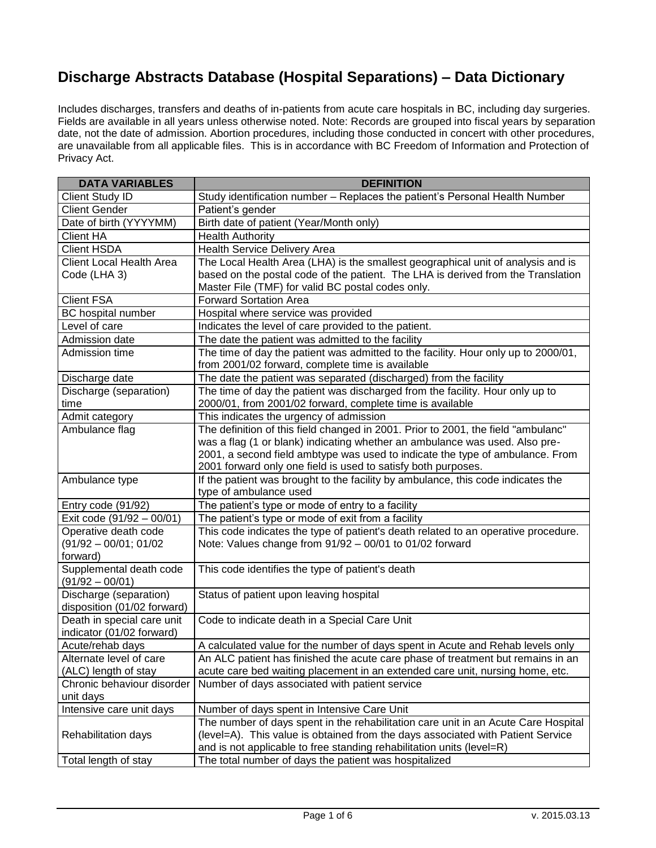## **Discharge Abstracts Database (Hospital Separations) – Data Dictionary**

Includes discharges, transfers and deaths of in-patients from acute care hospitals in BC, including day surgeries. Fields are available in all years unless otherwise noted. Note: Records are grouped into fiscal years by separation date, not the date of admission. Abortion procedures, including those conducted in concert with other procedures, are unavailable from all applicable files. This is in accordance with BC Freedom of Information and Protection of Privacy Act.

| <b>DATA VARIABLES</b>       | <b>DEFINITION</b>                                                                  |
|-----------------------------|------------------------------------------------------------------------------------|
| Client Study ID             | Study identification number - Replaces the patient's Personal Health Number        |
| <b>Client Gender</b>        | Patient's gender                                                                   |
| Date of birth (YYYYMM)      | Birth date of patient (Year/Month only)                                            |
| <b>Client HA</b>            | Health Authority                                                                   |
| <b>Client HSDA</b>          | Health Service Delivery Area                                                       |
| Client Local Health Area    | The Local Health Area (LHA) is the smallest geographical unit of analysis and is   |
| Code (LHA 3)                | based on the postal code of the patient. The LHA is derived from the Translation   |
|                             | Master File (TMF) for valid BC postal codes only.                                  |
| <b>Client FSA</b>           | <b>Forward Sortation Area</b>                                                      |
| BC hospital number          | Hospital where service was provided                                                |
| Level of care               | Indicates the level of care provided to the patient.                               |
| Admission date              | The date the patient was admitted to the facility                                  |
| Admission time              | The time of day the patient was admitted to the facility. Hour only up to 2000/01, |
|                             | from 2001/02 forward, complete time is available                                   |
| Discharge date              | The date the patient was separated (discharged) from the facility                  |
| Discharge (separation)      | The time of day the patient was discharged from the facility. Hour only up to      |
| time                        | 2000/01, from 2001/02 forward, complete time is available                          |
| Admit category              | This indicates the urgency of admission                                            |
| Ambulance flag              | The definition of this field changed in 2001. Prior to 2001, the field "ambulanc"  |
|                             | was a flag (1 or blank) indicating whether an ambulance was used. Also pre-        |
|                             | 2001, a second field ambtype was used to indicate the type of ambulance. From      |
|                             | 2001 forward only one field is used to satisfy both purposes.                      |
| Ambulance type              | If the patient was brought to the facility by ambulance, this code indicates the   |
|                             | type of ambulance used                                                             |
| Entry code (91/92)          | The patient's type or mode of entry to a facility                                  |
| Exit code (91/92 - 00/01)   | The patient's type or mode of exit from a facility                                 |
| Operative death code        | This code indicates the type of patient's death related to an operative procedure. |
| $(91/92 - 00/01; 01/02)$    | Note: Values change from 91/92 - 00/01 to 01/02 forward                            |
| forward)                    |                                                                                    |
| Supplemental death code     | This code identifies the type of patient's death                                   |
| $(91/92 - 00/01)$           |                                                                                    |
| Discharge (separation)      | Status of patient upon leaving hospital                                            |
| disposition (01/02 forward) |                                                                                    |
| Death in special care unit  | Code to indicate death in a Special Care Unit                                      |
| indicator (01/02 forward)   |                                                                                    |
| Acute/rehab days            | A calculated value for the number of days spent in Acute and Rehab levels only     |
| Alternate level of care     | An ALC patient has finished the acute care phase of treatment but remains in an    |
| (ALC) length of stay        | acute care bed waiting placement in an extended care unit, nursing home, etc.      |
| Chronic behaviour disorder  | Number of days associated with patient service                                     |
| unit days                   |                                                                                    |
| Intensive care unit days    | Number of days spent in Intensive Care Unit                                        |
|                             | The number of days spent in the rehabilitation care unit in an Acute Care Hospital |
| Rehabilitation days         | (level=A). This value is obtained from the days associated with Patient Service    |
|                             | and is not applicable to free standing rehabilitation units (level=R)              |
| Total length of stay        | The total number of days the patient was hospitalized                              |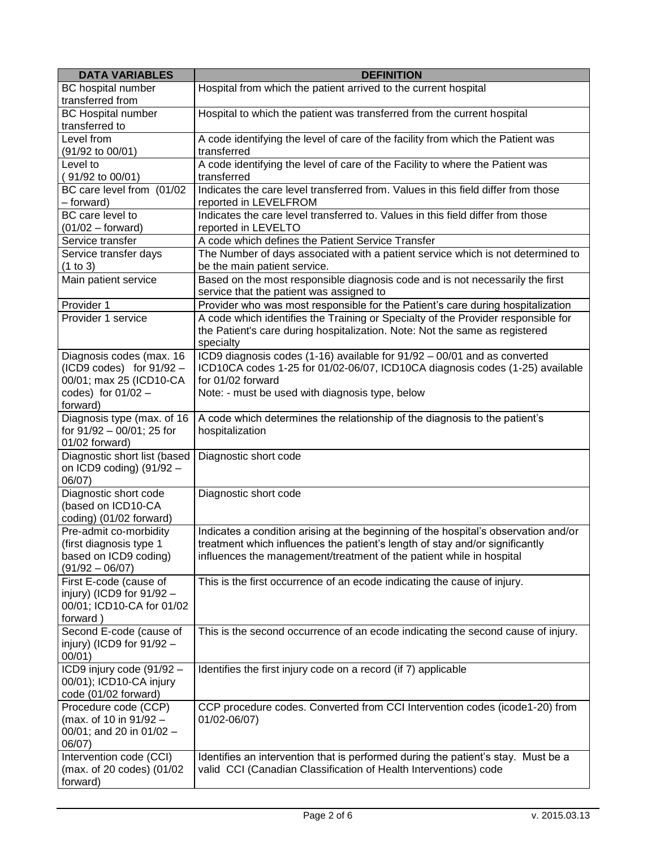| <b>DATA VARIABLES</b>                                                                           | <b>DEFINITION</b>                                                                                                                                                                                                                           |
|-------------------------------------------------------------------------------------------------|---------------------------------------------------------------------------------------------------------------------------------------------------------------------------------------------------------------------------------------------|
| BC hospital number<br>transferred from                                                          | Hospital from which the patient arrived to the current hospital                                                                                                                                                                             |
| <b>BC Hospital number</b><br>transferred to                                                     | Hospital to which the patient was transferred from the current hospital                                                                                                                                                                     |
| Level from<br>(91/92 to 00/01)                                                                  | A code identifying the level of care of the facility from which the Patient was<br>transferred                                                                                                                                              |
| Level to<br>(91/92 to 00/01)                                                                    | A code identifying the level of care of the Facility to where the Patient was<br>transferred                                                                                                                                                |
| BC care level from (01/02<br>– forward)                                                         | Indicates the care level transferred from. Values in this field differ from those<br>reported in LEVELFROM                                                                                                                                  |
| BC care level to<br>$(01/02 - forward)$                                                         | Indicates the care level transferred to. Values in this field differ from those<br>reported in LEVELTO                                                                                                                                      |
| Service transfer                                                                                | A code which defines the Patient Service Transfer                                                                                                                                                                                           |
| Service transfer days<br>(1 to 3)                                                               | The Number of days associated with a patient service which is not determined to<br>be the main patient service.                                                                                                                             |
| Main patient service                                                                            | Based on the most responsible diagnosis code and is not necessarily the first<br>service that the patient was assigned to                                                                                                                   |
| Provider 1                                                                                      | Provider who was most responsible for the Patient's care during hospitalization                                                                                                                                                             |
| Provider 1 service                                                                              | A code which identifies the Training or Specialty of the Provider responsible for<br>the Patient's care during hospitalization. Note: Not the same as registered<br>specialty                                                               |
| Diagnosis codes (max. 16<br>(ICD9 codes) for $91/92 -$<br>00/01; max 25 (ICD10-CA               | ICD9 diagnosis codes (1-16) available for 91/92 - 00/01 and as converted<br>ICD10CA codes 1-25 for 01/02-06/07, ICD10CA diagnosis codes (1-25) available<br>for 01/02 forward                                                               |
| codes) for $01/02$ -<br>forward)                                                                | Note: - must be used with diagnosis type, below                                                                                                                                                                                             |
| Diagnosis type (max. of 16<br>for 91/92 - 00/01; 25 for<br>01/02 forward)                       | A code which determines the relationship of the diagnosis to the patient's<br>hospitalization                                                                                                                                               |
| Diagnostic short list (based<br>on ICD9 coding) (91/92 -<br>06/07)                              | Diagnostic short code                                                                                                                                                                                                                       |
| Diagnostic short code<br>(based on ICD10-CA<br>coding) (01/02 forward)                          | Diagnostic short code                                                                                                                                                                                                                       |
| Pre-admit co-morbidity<br>(first diagnosis type 1<br>based on ICD9 coding)<br>$(91/92 - 06/07)$ | Indicates a condition arising at the beginning of the hospital's observation and/or<br>treatment which influences the patient's length of stay and/or significantly<br>influences the management/treatment of the patient while in hospital |
| First E-code (cause of<br>injury) (ICD9 for 91/92 -<br>00/01; ICD10-CA for 01/02<br>forward     | This is the first occurrence of an ecode indicating the cause of injury.                                                                                                                                                                    |
| Second E-code (cause of<br>injury) (ICD9 for 91/92 -<br>00/01)                                  | This is the second occurrence of an ecode indicating the second cause of injury.                                                                                                                                                            |
| ICD9 injury code (91/92 -<br>00/01); ICD10-CA injury<br>code (01/02 forward)                    | Identifies the first injury code on a record (if 7) applicable                                                                                                                                                                              |
| Procedure code (CCP)<br>(max. of 10 in 91/92 -<br>00/01; and 20 in 01/02 -<br>06/07)            | CCP procedure codes. Converted from CCI Intervention codes (icode1-20) from<br>01/02-06/07)                                                                                                                                                 |
| Intervention code (CCI)<br>(max. of 20 codes) (01/02<br>forward)                                | Identifies an intervention that is performed during the patient's stay. Must be a<br>valid CCI (Canadian Classification of Health Interventions) code                                                                                       |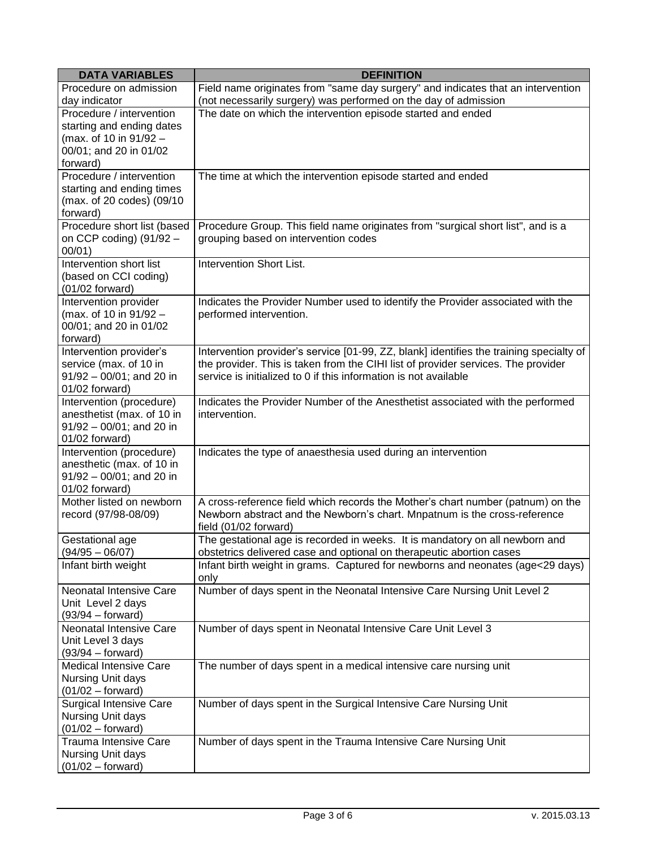| <b>DATA VARIABLES</b>                               | <b>DEFINITION</b>                                                                       |
|-----------------------------------------------------|-----------------------------------------------------------------------------------------|
| Procedure on admission                              | Field name originates from "same day surgery" and indicates that an intervention        |
| day indicator                                       | (not necessarily surgery) was performed on the day of admission                         |
| Procedure / intervention                            | The date on which the intervention episode started and ended                            |
| starting and ending dates                           |                                                                                         |
| (max. of 10 in 91/92 -                              |                                                                                         |
| 00/01; and 20 in 01/02                              |                                                                                         |
| forward)                                            |                                                                                         |
| Procedure / intervention                            | The time at which the intervention episode started and ended                            |
| starting and ending times                           |                                                                                         |
| (max. of 20 codes) (09/10                           |                                                                                         |
| forward)                                            |                                                                                         |
| Procedure short list (based                         | Procedure Group. This field name originates from "surgical short list", and is a        |
| on CCP coding) (91/92 -<br>00/01)                   | grouping based on intervention codes                                                    |
| Intervention short list                             | Intervention Short List.                                                                |
| (based on CCI coding)                               |                                                                                         |
| $(01/02$ forward)                                   |                                                                                         |
| Intervention provider                               | Indicates the Provider Number used to identify the Provider associated with the         |
| (max. of 10 in 91/92 -                              | performed intervention.                                                                 |
| 00/01; and 20 in 01/02                              |                                                                                         |
| forward)                                            |                                                                                         |
| Intervention provider's                             | Intervention provider's service [01-99, ZZ, blank] identifies the training specialty of |
| service (max. of 10 in                              | the provider. This is taken from the CIHI list of provider services. The provider       |
| 91/92 - 00/01; and 20 in                            | service is initialized to 0 if this information is not available                        |
| 01/02 forward)                                      |                                                                                         |
| Intervention (procedure)                            | Indicates the Provider Number of the Anesthetist associated with the performed          |
| anesthetist (max. of 10 in                          | intervention.                                                                           |
| $91/92 - 00/01$ ; and 20 in<br>01/02 forward)       |                                                                                         |
| Intervention (procedure)                            | Indicates the type of anaesthesia used during an intervention                           |
| anesthetic (max. of 10 in                           |                                                                                         |
| 91/92 - 00/01; and 20 in                            |                                                                                         |
| 01/02 forward)                                      |                                                                                         |
| Mother listed on newborn                            | A cross-reference field which records the Mother's chart number (patnum) on the         |
| record (97/98-08/09)                                | Newborn abstract and the Newborn's chart. Mnpatnum is the cross-reference               |
|                                                     | field (01/02 forward)                                                                   |
| Gestational age                                     | The gestational age is recorded in weeks. It is mandatory on all newborn and            |
| $(94/95 - 06/07)$                                   | obstetrics delivered case and optional on therapeutic abortion cases                    |
| Infant birth weight                                 | Infant birth weight in grams. Captured for newborns and neonates (age<29 days)          |
| Neonatal Intensive Care                             | only                                                                                    |
| Unit Level 2 days                                   | Number of days spent in the Neonatal Intensive Care Nursing Unit Level 2                |
| $(93/94 - forward)$                                 |                                                                                         |
| Neonatal Intensive Care                             | Number of days spent in Neonatal Intensive Care Unit Level 3                            |
| Unit Level 3 days                                   |                                                                                         |
| $(93/94 - forward)$                                 |                                                                                         |
| <b>Medical Intensive Care</b>                       | The number of days spent in a medical intensive care nursing unit                       |
| Nursing Unit days                                   |                                                                                         |
| $(01/02 - forward)$                                 |                                                                                         |
| <b>Surgical Intensive Care</b>                      | Number of days spent in the Surgical Intensive Care Nursing Unit                        |
| Nursing Unit days                                   |                                                                                         |
| $(01/02 - forward)$<br><b>Trauma Intensive Care</b> |                                                                                         |
| Nursing Unit days                                   | Number of days spent in the Trauma Intensive Care Nursing Unit                          |
| $(01/02 - forward)$                                 |                                                                                         |
|                                                     |                                                                                         |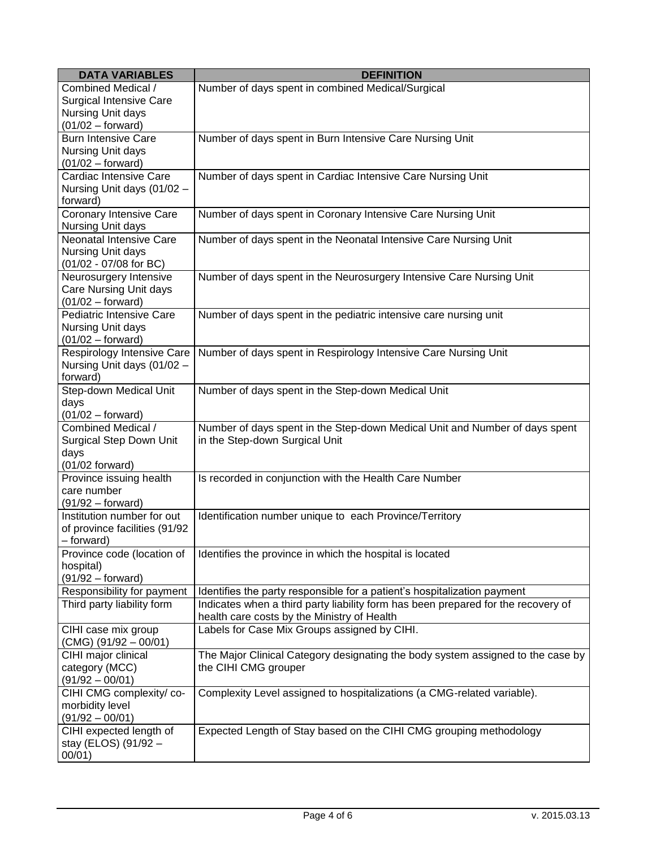| <b>DATA VARIABLES</b>                      | <b>DEFINITION</b>                                                                                                                |
|--------------------------------------------|----------------------------------------------------------------------------------------------------------------------------------|
| Combined Medical /                         | Number of days spent in combined Medical/Surgical                                                                                |
| <b>Surgical Intensive Care</b>             |                                                                                                                                  |
| Nursing Unit days                          |                                                                                                                                  |
| $(01/02 - forward)$                        |                                                                                                                                  |
| <b>Burn Intensive Care</b>                 | Number of days spent in Burn Intensive Care Nursing Unit                                                                         |
| Nursing Unit days                          |                                                                                                                                  |
| $(01/02 - forward)$                        |                                                                                                                                  |
| Cardiac Intensive Care                     | Number of days spent in Cardiac Intensive Care Nursing Unit                                                                      |
| Nursing Unit days (01/02 -<br>forward)     |                                                                                                                                  |
| Coronary Intensive Care                    | Number of days spent in Coronary Intensive Care Nursing Unit                                                                     |
| Nursing Unit days                          |                                                                                                                                  |
| Neonatal Intensive Care                    | Number of days spent in the Neonatal Intensive Care Nursing Unit                                                                 |
| Nursing Unit days                          |                                                                                                                                  |
| (01/02 - 07/08 for BC)                     |                                                                                                                                  |
| Neurosurgery Intensive                     | Number of days spent in the Neurosurgery Intensive Care Nursing Unit                                                             |
| Care Nursing Unit days                     |                                                                                                                                  |
| $(01/02 - forward)$                        |                                                                                                                                  |
| Pediatric Intensive Care                   | Number of days spent in the pediatric intensive care nursing unit                                                                |
| Nursing Unit days                          |                                                                                                                                  |
| $(01/02 - forward)$                        |                                                                                                                                  |
| Respirology Intensive Care                 | Number of days spent in Respirology Intensive Care Nursing Unit                                                                  |
| Nursing Unit days (01/02 -                 |                                                                                                                                  |
| forward)                                   |                                                                                                                                  |
| Step-down Medical Unit                     | Number of days spent in the Step-down Medical Unit                                                                               |
| days                                       |                                                                                                                                  |
| $(01/02 - forward)$<br>Combined Medical /  | Number of days spent in the Step-down Medical Unit and Number of days spent                                                      |
| Surgical Step Down Unit                    | in the Step-down Surgical Unit                                                                                                   |
| days                                       |                                                                                                                                  |
| $(01/02$ forward)                          |                                                                                                                                  |
| Province issuing health                    | Is recorded in conjunction with the Health Care Number                                                                           |
| care number                                |                                                                                                                                  |
| $(91/92 - forward)$                        |                                                                                                                                  |
| Institution number for out                 | Identification number unique to each Province/Territory                                                                          |
| of province facilities (91/92              |                                                                                                                                  |
| – forward)                                 |                                                                                                                                  |
| Province code (location of                 | Identifies the province in which the hospital is located                                                                         |
| hospital)                                  |                                                                                                                                  |
| $(91/92 - forward)$                        |                                                                                                                                  |
| Responsibility for payment                 | Identifies the party responsible for a patient's hospitalization payment                                                         |
| Third party liability form                 | Indicates when a third party liability form has been prepared for the recovery of<br>health care costs by the Ministry of Health |
| CIHI case mix group                        | Labels for Case Mix Groups assigned by CIHI.                                                                                     |
| $(CMG)$ (91/92 - 00/01)                    |                                                                                                                                  |
| CIHI major clinical                        | The Major Clinical Category designating the body system assigned to the case by                                                  |
| category (MCC)                             | the CIHI CMG grouper                                                                                                             |
| $(91/92 - 00/01)$                          |                                                                                                                                  |
| CIHI CMG complexity/co-<br>morbidity level | Complexity Level assigned to hospitalizations (a CMG-related variable).                                                          |
| $(91/92 - 00/01)$                          |                                                                                                                                  |
| CIHI expected length of                    | Expected Length of Stay based on the CIHI CMG grouping methodology                                                               |
| stay (ELOS) (91/92 -                       |                                                                                                                                  |
| 00/01)                                     |                                                                                                                                  |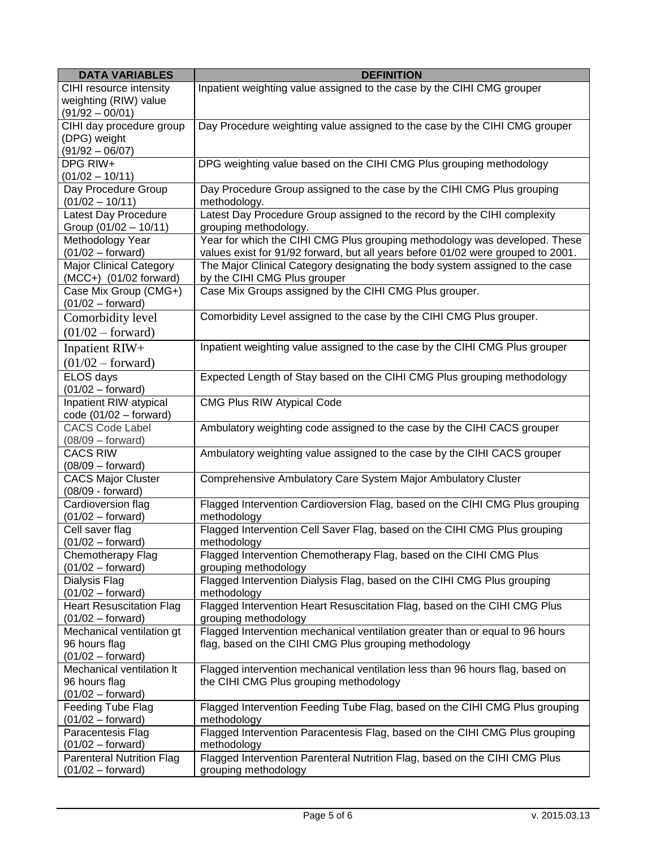| <b>DATA VARIABLES</b>                                                              | <b>DEFINITION</b>                                                                                                                                              |
|------------------------------------------------------------------------------------|----------------------------------------------------------------------------------------------------------------------------------------------------------------|
| CIHI resource intensity<br>weighting (RIW) value                                   | Inpatient weighting value assigned to the case by the CIHI CMG grouper                                                                                         |
| $(91/92 - 00/01)$<br>CIHI day procedure group<br>(DPG) weight<br>$(91/92 - 06/07)$ | Day Procedure weighting value assigned to the case by the CIHI CMG grouper                                                                                     |
| DPG RIW+<br>$(01/02 - 10/11)$                                                      | DPG weighting value based on the CIHI CMG Plus grouping methodology                                                                                            |
| Day Procedure Group<br>$(01/02 - 10/11)$                                           | Day Procedure Group assigned to the case by the CIHI CMG Plus grouping<br>methodology.                                                                         |
| Latest Day Procedure<br>Group (01/02 - 10/11)                                      | Latest Day Procedure Group assigned to the record by the CIHI complexity<br>grouping methodology.                                                              |
| Methodology Year<br>$(01/02 - forward)$                                            | Year for which the CIHI CMG Plus grouping methodology was developed. These<br>values exist for 91/92 forward, but all years before 01/02 were grouped to 2001. |
| <b>Major Clinical Category</b><br>(MCC+) (01/02 forward)                           | The Major Clinical Category designating the body system assigned to the case<br>by the CIHI CMG Plus grouper                                                   |
| Case Mix Group (CMG+)<br>$(01/02 - forward)$                                       | Case Mix Groups assigned by the CIHI CMG Plus grouper.                                                                                                         |
| Comorbidity level<br>$(01/02 - forward)$                                           | Comorbidity Level assigned to the case by the CIHI CMG Plus grouper.                                                                                           |
| Inpatient RIW+                                                                     | Inpatient weighting value assigned to the case by the CIHI CMG Plus grouper                                                                                    |
| $(01/02 - forward)$<br>ELOS days<br>$(01/02 - forward)$                            | Expected Length of Stay based on the CIHI CMG Plus grouping methodology                                                                                        |
| Inpatient RIW atypical<br>code $(01/02 - forward)$                                 | <b>CMG Plus RIW Atypical Code</b>                                                                                                                              |
| <b>CACS Code Label</b><br>$(08/09 - forward)$                                      | Ambulatory weighting code assigned to the case by the CIHI CACS grouper                                                                                        |
| <b>CACS RIW</b><br>$(08/09 - forward)$                                             | Ambulatory weighting value assigned to the case by the CIHI CACS grouper                                                                                       |
| <b>CACS Major Cluster</b><br>(08/09 - forward)                                     | Comprehensive Ambulatory Care System Major Ambulatory Cluster                                                                                                  |
| Cardioversion flag<br>$(01/02 - forward)$                                          | Flagged Intervention Cardioversion Flag, based on the CIHI CMG Plus grouping<br>methodology                                                                    |
| Cell saver flag<br>$(01/02 - forward)$                                             | Flagged Intervention Cell Saver Flag, based on the CIHI CMG Plus grouping<br>methodology                                                                       |
| Chemotherapy Flag<br>$(01/02 - forward)$                                           | Flagged Intervention Chemotherapy Flag, based on the CIHI CMG Plus<br>grouping methodology                                                                     |
| Dialysis Flag<br>$(01/02 - forward)$                                               | Flagged Intervention Dialysis Flag, based on the CIHI CMG Plus grouping<br>methodology                                                                         |
| <b>Heart Resuscitation Flag</b><br>$(01/02 - forward)$                             | Flagged Intervention Heart Resuscitation Flag, based on the CIHI CMG Plus<br>grouping methodology                                                              |
| Mechanical ventilation gt<br>96 hours flag<br>$(01/02 - forward)$                  | Flagged Intervention mechanical ventilation greater than or equal to 96 hours<br>flag, based on the CIHI CMG Plus grouping methodology                         |
| Mechanical ventilation It<br>96 hours flag<br>$(01/02 - forward)$                  | Flagged intervention mechanical ventilation less than 96 hours flag, based on<br>the CIHI CMG Plus grouping methodology                                        |
| Feeding Tube Flag<br>$(01/02 - forward)$                                           | Flagged Intervention Feeding Tube Flag, based on the CIHI CMG Plus grouping<br>methodology                                                                     |
| Paracentesis Flag<br>$(01/02 - forward)$                                           | Flagged Intervention Paracentesis Flag, based on the CIHI CMG Plus grouping<br>methodology                                                                     |
| <b>Parenteral Nutrition Flag</b><br>$(01/02 - forward)$                            | Flagged Intervention Parenteral Nutrition Flag, based on the CIHI CMG Plus<br>grouping methodology                                                             |